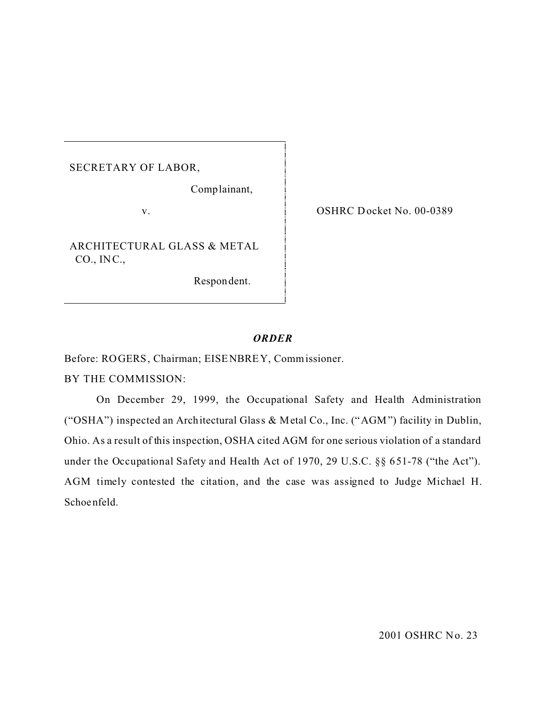SECRETARY OF LABOR,

Comp lainant,

v.

ARCHITECTURAL GLASS & METAL CO., IN C.,

Respon dent.

OSHRC Docket No. 00-0389

## *ORDER*

Before: ROGERS, Chairman; EISENBREY, Commissioner.

BY THE COMMISSION:

On December 29, 1999, the Occupational Safety and Health Administration ("OSHA") inspected an Architectural Glass & Metal Co., Inc. ("AGM") facility in Dublin, Ohio. As a result of this inspection, OSHA cited AGM for one serious violation of a standard under the Occupational Safety and Health Act of 1970, 29 U.S.C. §§ 651-78 ("the Act"). AGM timely contested the citation, and the case was assigned to Judge Michael H. Schoenfeld.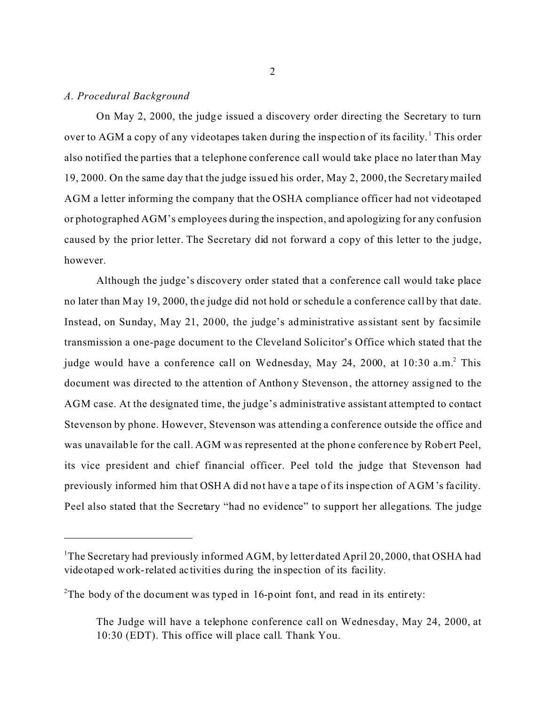#### *A. Procedural Background*

On May 2, 2000, the judge issued a discovery order directing the Secretary to turn over to AGM a copy of any videotapes taken during the inspection of its facility.<sup>1</sup> This order also notified the parties that a telephone conference call would take place no later than May 19, 2000. On the same day tha t the judge issued his order, May 2, 2000, the Secretary mailed AGM a letter informing the company that the OSHA compliance officer had not videotaped or photographed AGM's employees during the inspection, and apologizing for any confusion caused by the prior letter. The Secretary did not forward a copy of this letter to the judge, however.

Although the judge's discovery order stated that a conference call would take place no later than May 19, 2000, the judge did not hold or schedule a conference call by that date. Instead, on Sunday, May 21, 2000, the judge's administrative assistant sent by fac simile transmission a one-page document to the Cleveland Solicitor's Office which stated that the judge would have a conference call on Wednesday, May 24, 2000, at 10:30 a.m.<sup>2</sup> This document was directed to the attention of Anthony Stevenson, the attorney assigned to the AGM case. At the designated time, the judge's administrative assistant attempted to contact Stevenson by phone. However, Stevenson was attending a conference outside the office and was unavailable for the call. AGM was represented at the phone conference by Robert Peel, its vice president and chief financial officer. Peel told the judge that Stevenson had previously informed him that OSHA did not have a tape of its inspe ction of AGM's facility. Peel also stated that the Secretary "had no evidence" to support her allegations. The judge

<sup>&</sup>lt;sup>1</sup>The Secretary had previously informed AGM, by letter dated April 20, 2000, that OSHA had videotaped work-related ac tivities during the inspec tion of its facility.

<sup>&</sup>lt;sup>2</sup>The body of the document was typed in 16-point font, and read in its entirety:

The Judge will have a telephone conference call on Wednesday, May 24, 2000, at 10:30 (EDT). This office will place call. Thank You.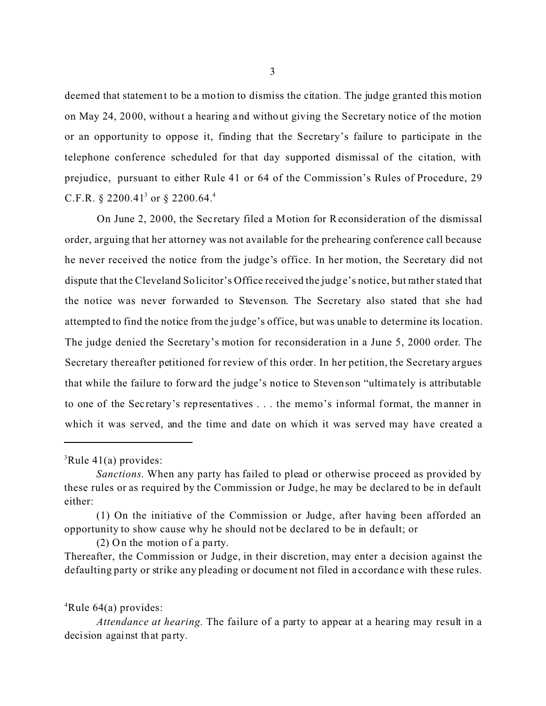deemed that statement to be a motion to dismiss the citation. The judge granted this motion on May 24, 2000, without a hearing and without giving the Secretary notice of the motion or an opportunity to oppose it, finding that the Secretary's failure to participate in the telephone conference scheduled for that day supported dismissal of the citation, with prejudice, pursuant to either Rule 41 or 64 of the Commission's Rules of Procedure, 29 C.F.R. § 2200.41<sup>3</sup> or § 2200.64.<sup>4</sup>

On June 2, 2000, the Sec retary filed a Motion for Reconsideration of the dismissal order, arguing that her attorney was not available for the prehearing conference call because he never received the notice from the judge's office. In her motion, the Secretary did not dispute that the Cleveland Solicitor's Office received the judge's notice, but rather stated that the notice was never forwarded to Stevenson. The Secretary also stated that she had attempted to find the notice from the judge's office, but was unable to determine its location. The judge denied the Secretary's motion for reconsideration in a June 5, 2000 order. The Secretary thereafter petitioned for review of this order. In her petition, the Secretary argues that while the failure to forward the judge's notice to Stevenson "ultima tely is attributable to one of the Sec retary's representatives . . . the memo's informal format, the manner in which it was served, and the time and date on which it was served may have created a

 $(2)$  On the motion of a party.

Thereafter, the Commission or Judge, in their discretion, may enter a decision against the defaulting party or strike any pleading or document not filed in accordance with these rules.

 ${}^{4}$ Rule 64(a) provides:

*Attendance at hearing*. The failure of a party to appear at a hearing may result in a decision against that party.

 ${}^{3}$ Rule 41(a) provides:

*Sanctions*. When any party has failed to plead or otherwise proceed as provided by these rules or as required by the Commission or Judge, he may be declared to be in default either:

<sup>(1)</sup> On the initiative of the Commission or Judge, after having been afforded an opportunity to show cause why he should not be declared to be in default; or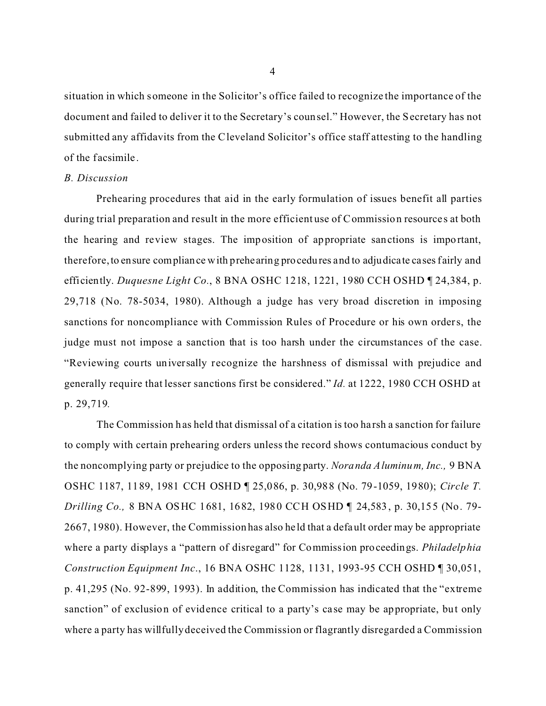situation in which someone in the Solicitor's office failed to recognize the importance of the document and failed to deliver it to the Secretary's counsel." However, the Secretary has not submitted any affidavits from the Cleveland Solicitor's office staff attesting to the handling of the f acsimile .

### *B. Discussion*

Prehearing procedures that aid in the early formulation of issues benefit all parties during trial preparation and result in the more efficient use of Commission resources at both the hearing and review stages. The imposition of appropriate sanctions is important, therefore, to ensure compliance with prehearing procedures and to adjudicate cases fairly and efficiently. *Duquesne Light Co.*, 8 BNA OSHC 1218, 1221, 1980 CCH OSHD ¶ 24,384, p. 29,718 (No. 78-5034, 1980). Although a judge has very broad discretion in imposing sanctions for noncompliance with Commission Rules of Procedure or his own orders, the judge must not impose a sanction that is too harsh under the circumstances of the case. "Reviewing courts universally recognize the harshness of dismissal with prejudice and generally require that lesser sanctions first be considered." *Id.* at 1222, 1980 CCH OSHD at p. 29,719*.* 

The Commission has held that dismissal of a citation is too harsh a sanction for failure to comply with certain prehearing orders unless the record shows contumacious conduct by the noncomplying party or prejudice to the opposing party. *Noranda Aluminum, Inc.,* 9 BNA OSHC 1187, 1189, 1981 CCH OSHD ¶ 25,086, p. 30,988 (No. 79-1059, 1980); *Circle T. Drilling Co.,* 8 BNA OSHC 1681, 1682, 1980 CCH OSHD ¶ 24,583, p. 30,155 (No. 79- 2667, 1980). However, the Commission has also he ld that a default order may be appropriate where a party displays a "pattern of disregard" for Commission proceedings. *Philadelphia Construction Equipment Inc*., 16 BNA OSHC 1128, 1131, 1993-95 CCH OSHD ¶ 30,051, p. 41,295 (No. 92-899, 1993). In addition, the Commission has indicated that the "extreme sanction" of exclusion of evidence critical to a party's case may be appropriate, but only where a party has willfully deceived the Commission or flagrantly disregarded a Commission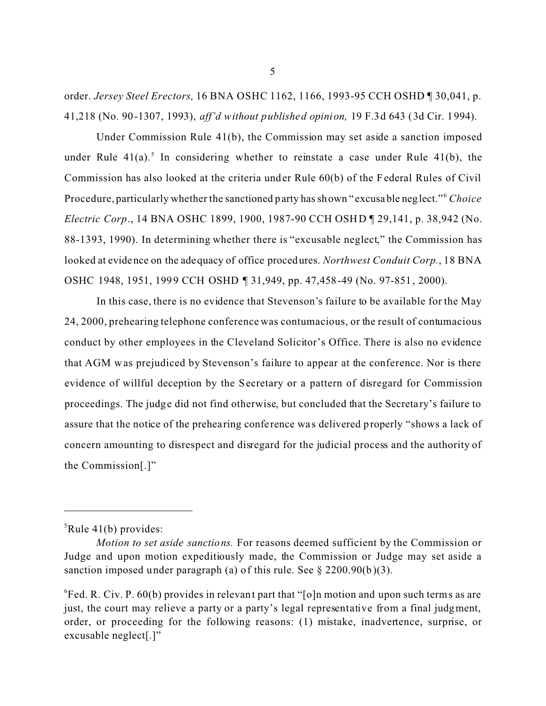order. *Jersey Steel Erectors,* 16 BNA OSHC 1162, 1166, 1993-95 CCH OSHD ¶ 30,041, p. 41,218 (No. 90-1307, 1993), *aff'd without published opinion,* 19 F.3d 643 (3d Cir. 1994).

Under Commission Rule 41(b), the Commission may set aside a sanction imposed under Rule  $41(a)$ .<sup>5</sup> In considering whether to reinstate a case under Rule  $41(b)$ , the Commission has also looked at the criteria under Rule 60(b) of the Federal Rules of Civil Procedure, particularly whether the sanctioned party has shown " excusable neglect."<sup>6</sup>*Choice Electric Corp.*, 14 BNA OSHC 1899, 1900, 1987-90 CCH OSHD ¶ 29,141, p. 38,942 (No. 88-1393, 1990). In determining whether there is "excusable neglect," the Commission has looked at evidence on the adequacy of office procedures. *Northwest Conduit Corp.*, 18 BNA OSHC 1948, 1951, 1999 CCH OSHD ¶ 31,949, pp. 47,458-49 (No. 97-851, 2000).

In this case, there is no evidence that Stevenson's failure to be available for the May 24, 2000, prehearing telephone conference was contumacious, or the result of contumacious conduct by other employees in the Cleveland Solicitor's Office. There is also no evidence that AGM w as prejudiced by Stevenson's failure to appear at the conference. Nor is there evidence of willful deception by the Secretary or a pattern of disregard for Commission proceedings. The judge did not find otherwise, but concluded that the Secretary's failure to assure that the notice of the prehearing confe rence wa s delivered properly "shows a lack of concern amounting to disrespect and disregard for the judicial process and the authority of the Commission[.]"

 ${}^{5}$ Rule 41(b) provides:

*Motion to set aside sanctions.* For reasons deemed sufficient by the Commission or Judge and upon motion expeditiously made, the Commission or Judge may set aside a sanction imposed under paragraph (a) of this rule. See  $\S 2200.90(b)(3)$ .

 ${}^{6}$ Fed. R. Civ. P. 60(b) provides in relevant part that "[o]n motion and upon such terms as are just, the court may relieve a party or a party's legal representative from a final judgment, order, or proceeding for the following reasons: (1) mistake, inadvertence, surprise, or excusable neglect[.]"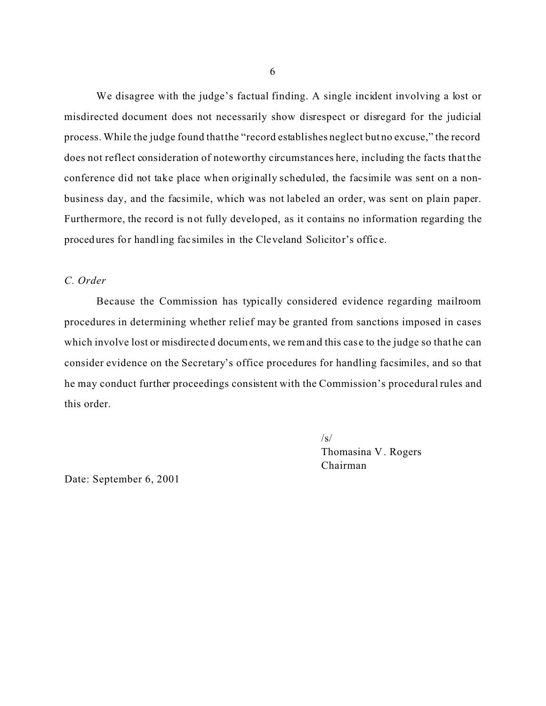We disagree with the judge's factual finding. A single incident involving a lost or misdirected document does not necessarily show disrespect or disregard for the judicial process. While the judge found that the "record establishes neglect but no excuse," the record does not reflect consideration of noteworthy circumstances here, including the facts that the conference did not take place when originally scheduled, the facsimile was sent on a nonbusiness day, and the facsimile, which was not labeled an order, was sent on plain paper. Furthermore, the record is not fully developed, as it contains no information regarding the procedures for handling fac similes in the Cleveland Solicitor's offic e.

## *C. Order*

Because the Commission has typically considered evidence regarding mailroom procedures in determining whether relief may be granted from sanctions imposed in cases which involve lost or misdirected documents, we remand this case to the judge so that he can consider evidence on the Secretary's office procedures for handling facsimiles, and so that he may conduct further proceedings consistent with the Commission's procedural rules and this order.

> $\sqrt{s}$ Thomasina V . Rogers Chairman

Date: September 6, 2001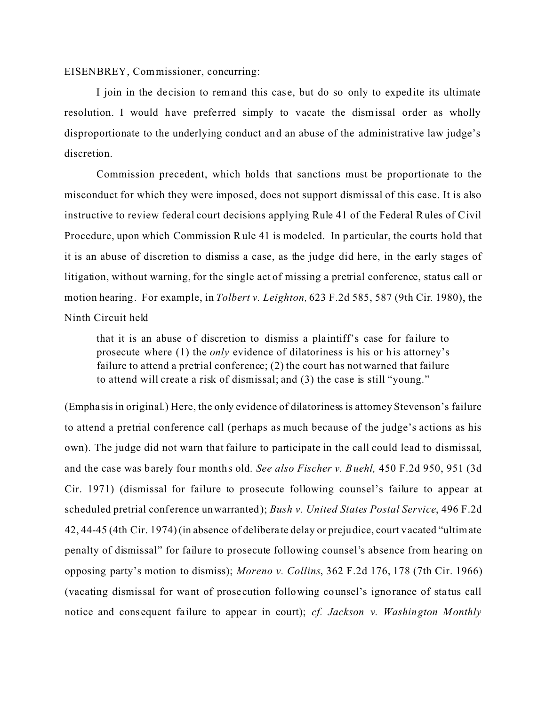EISENBREY, Com missioner, concurring:

I join in the decision to remand this case, but do so only to expedite its ultimate resolution. I would have preferred simply to vacate the dismissal order as wholly disproportionate to the underlying conduct and an abuse of the administrative law judge's discretion.

Commission precedent, which holds that sanctions must be proportionate to the misconduct for which they were imposed, does not support dismissal of this case. It is also instructive to review federal court decisions applying Rule 41 of the Federal Rules of Civil Procedure, upon which Commission Rule 41 is modeled. In particular, the courts hold that it is an abuse of discretion to dismiss a case, as the judge did here, in the early stages of litigation, without warning, for the single act of missing a pretrial conference, status call or motion hearing. For example, in *Tolbert v. Leighton,* 623 F.2d 585, 587 (9th Cir. 1980), the Ninth Circuit held

that it is an abuse of discretion to dismiss a plaintiff's case for failure to prosecute where (1) the *only* evidence of dilatoriness is his or his attorney's failure to attend a pretrial conference; (2) the court has not warned that failure to attend will create a risk of dismissal; and (3) the case is still "young."

(Empha sis in original.) Here, the only evidence of dilatoriness is attorney Stevenson's failure to attend a pretrial conference call (perhaps as much because of the judge's actions as his own). The judge did not warn that failure to participate in the call could lead to dismissal, and the case was barely four months old. *See also Fischer v. Buehl,* 450 F.2d 950, 951 (3d Cir. 1971) (dismissal for failure to prosecute following counsel's failure to appear at scheduled pretrial conference unwarranted); *Bush v. United States Postal Service*, 496 F.2d 42, 44-45 (4th Cir. 1974) (in absence of deliberate delay or prejudice, court vacated "ultimate penalty of dismissal" for failure to prosecute following counsel's absence from hearing on opposing party's motion to dismiss); *Moreno v. Collins*, 362 F.2d 176, 178 (7th Cir. 1966) (vacating dismissal for want of prose cution following counsel's ignorance of sta tus call notice and consequent failure to appear in court); *cf. Jackson v. Washington Monthly*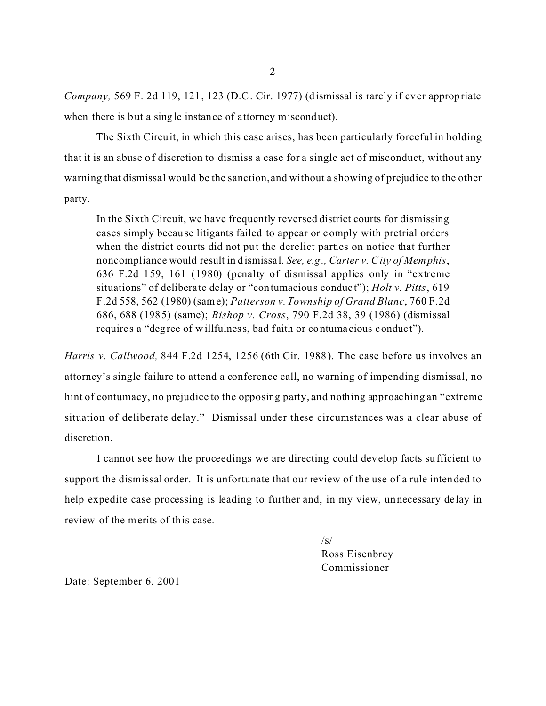*Company,* 569 F. 2d 119, 121, 123 (D.C. Cir. 1977) (dismissal is rarely if ever appropriate when there is but a single instance of attorney misconduct).

The Sixth Circuit, in which this case arises, has been particularly forceful in holding that it is an abuse of discretion to dismiss a case for a single act of misconduct, without any warning that dismissal would be the sanction, and without a showing of prejudice to the other party.

In the Sixth Circuit, we have frequently reversed district courts for dismissing cases simply because litigants failed to appear or comply with pretrial orders when the district courts did not put the derelict parties on notice that further noncompliance would result in dismissal. *See, e.g., Carter v. City of Memphis*, 636 F.2d 159, 161 (1980) (penalty of dismissal applies only in "extreme situations" of deliberate delay or "contumacious conduc t"); *Holt v. Pitts*, 619 F.2d 558, 562 (1980) (sam e); *Patterson v. Township of Grand Blanc*, 760 F.2d 686, 688 (1985) (same); *Bishop v. Cross*, 790 F.2d 38, 39 (1986) (dismissal requires a "degree of willfulness, bad faith or contumacious conduct").

*Harris v. Callwood,* 844 F.2d 1254, 1256 (6th Cir. 1988). The case before us involves an attorney's single failure to attend a conference call, no warning of impending dismissal, no hint of contumacy, no prejudice to the opposing party, and nothing approaching an "extreme situation of deliberate delay." Dismissal under these circumstances was a clear abuse of discretion.

I cannot see how the proceedings we are directing could develop facts sufficient to support the dismissal order. It is unfortunate that our review of the use of a rule intended to help expedite case processing is leading to further and, in my view, unnecessary delay in review of the merits of this case.

> $\sqrt{s}$ Ross Eisenbrey Commissioner

Date: September 6, 2001